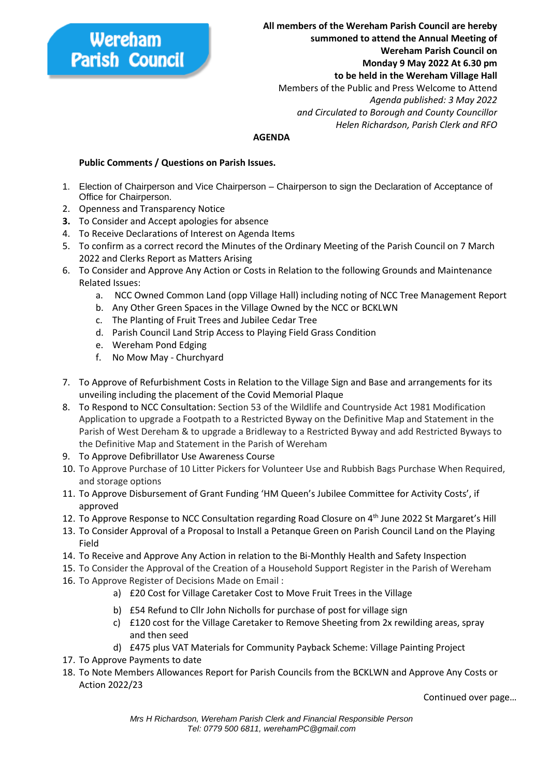## Wereham **Parish Council**

**All members of the Wereham Parish Council are hereby summoned to attend the Annual Meeting of Wereham Parish Council on Monday 9 May 2022 At 6.30 pm to be held in the Wereham Village Hall** Members of the Public and Press Welcome to Attend  *Agenda published: 3 May 2022 and Circulated to Borough and County Councillor Helen Richardson, Parish Clerk and RFO*

## **AGENDA**

## **Public Comments / Questions on Parish Issues.**

- 1. Election of Chairperson and Vice Chairperson Chairperson to sign the Declaration of Acceptance of Office for Chairperson.
- 2. Openness and Transparency Notice
- **3.** To Consider and Accept apologies for absence
- 4. To Receive Declarations of Interest on Agenda Items
- 5. To confirm as a correct record the Minutes of the Ordinary Meeting of the Parish Council on 7 March 2022 and Clerks Report as Matters Arising
- 6. To Consider and Approve Any Action or Costs in Relation to the following Grounds and Maintenance Related Issues:
	- a. NCC Owned Common Land (opp Village Hall) including noting of NCC Tree Management Report
	- b. Any Other Green Spaces in the Village Owned by the NCC or BCKLWN
	- c. The Planting of Fruit Trees and Jubilee Cedar Tree
	- d. Parish Council Land Strip Access to Playing Field Grass Condition
	- e. Wereham Pond Edging
	- f. No Mow May Churchyard
- 7. To Approve of Refurbishment Costs in Relation to the Village Sign and Base and arrangements for its unveiling including the placement of the Covid Memorial Plaque
- 8. To Respond to NCC Consultation: Section 53 of the Wildlife and Countryside Act 1981 Modification Application to upgrade a Footpath to a Restricted Byway on the Definitive Map and Statement in the Parish of West Dereham & to upgrade a Bridleway to a Restricted Byway and add Restricted Byways to the Definitive Map and Statement in the Parish of Wereham
- 9. To Approve Defibrillator Use Awareness Course
- 10. To Approve Purchase of 10 Litter Pickers for Volunteer Use and Rubbish Bags Purchase When Required, and storage options
- 11. To Approve Disbursement of Grant Funding 'HM Queen's Jubilee Committee for Activity Costs', if approved
- 12. To Approve Response to NCC Consultation regarding Road Closure on 4<sup>th</sup> June 2022 St Margaret's Hill
- 13. To Consider Approval of a Proposal to Install a Petanque Green on Parish Council Land on the Playing Field
- 14. To Receive and Approve Any Action in relation to the Bi-Monthly Health and Safety Inspection
- 15. To Consider the Approval of the Creation of a Household Support Register in the Parish of Wereham
- 16. To Approve Register of Decisions Made on Email :
	- a) £20 Cost for Village Caretaker Cost to Move Fruit Trees in the Village
	- b) £54 Refund to Cllr John Nicholls for purchase of post for village sign
	- c) £120 cost for the Village Caretaker to Remove Sheeting from 2x rewilding areas, spray and then seed
	- d) £475 plus VAT Materials for Community Payback Scheme: Village Painting Project
- 17. To Approve Payments to date
- 18. To Note Members Allowances Report for Parish Councils from the BCKLWN and Approve Any Costs or Action 2022/23

Continued over page…